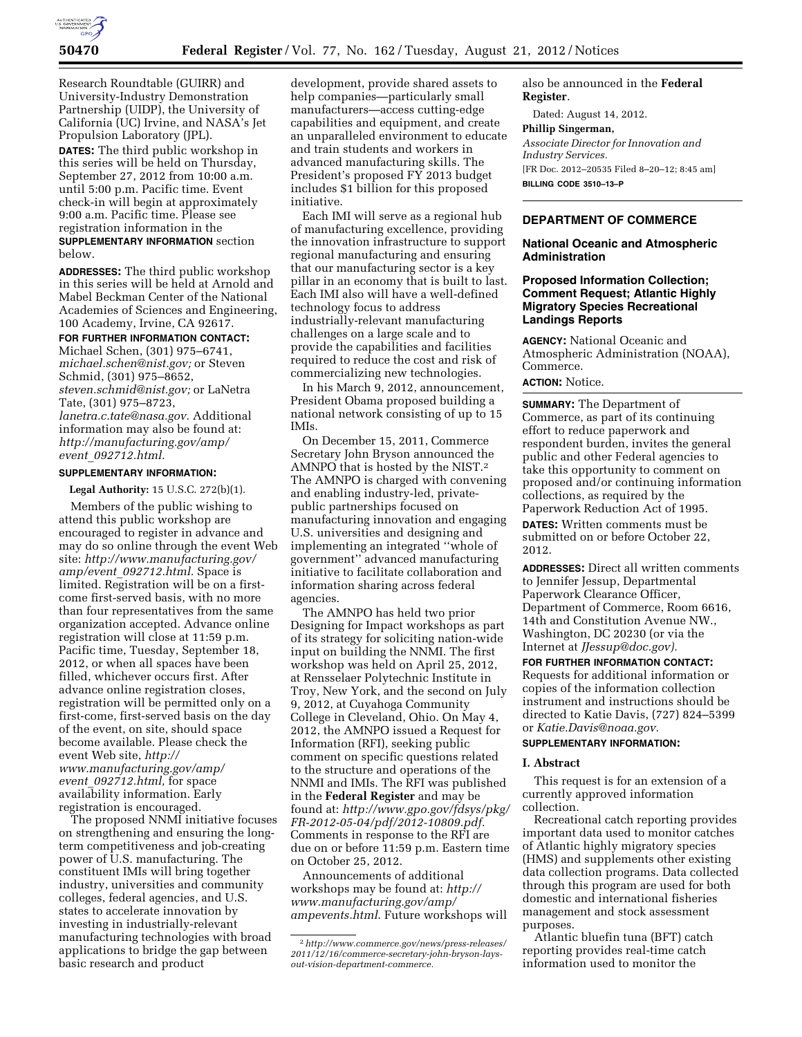

Research Roundtable (GUIRR) and University-Industry Demonstration Partnership (UIDP), the University of California (UC) Irvine, and NASA's Jet Propulsion Laboratory (JPL).

**DATES:** The third public workshop in this series will be held on Thursday, September 27, 2012 from 10:00 a.m. until 5:00 p.m. Pacific time. Event check-in will begin at approximately 9:00 a.m. Pacific time. Please see registration information in the **SUPPLEMENTARY INFORMATION** section below.

**ADDRESSES:** The third public workshop in this series will be held at Arnold and Mabel Beckman Center of the National Academies of Sciences and Engineering, 100 Academy, Irvine, CA 92617.

#### **FOR FURTHER INFORMATION CONTACT:**

Michael Schen, (301) 975–6741, *[michael.schen@nist.gov;](mailto:michael.schen@nist.gov)* or Steven Schmid, (301) 975–8652, *[steven.schmid@nist.gov;](mailto:steven.schmid@nist.gov)* or LaNetra Tate, (301) 975–8723, *[lanetra.c.tate@nasa.gov.](mailto:lanetra.c.tate@nasa.gov)* Additional information may also be found at: *[http://manufacturing.gov/amp/](http://manufacturing.gov/amp/event_092712.html) event*\_*[092712.html.](http://manufacturing.gov/amp/event_092712.html)* 

# **SUPPLEMENTARY INFORMATION:**

**Legal Authority:** 15 U.S.C. 272(b)(1).

Members of the public wishing to attend this public workshop are encouraged to register in advance and may do so online through the event Web site: *[http://www.manufacturing.gov/](http://www.manufacturing.gov/amp/event_092712.html) amp/event*\_*[092712.html.](http://www.manufacturing.gov/amp/event_092712.html)* Space is limited. Registration will be on a firstcome first-served basis, with no more than four representatives from the same organization accepted. Advance online registration will close at 11:59 p.m. Pacific time, Tuesday, September 18, 2012, or when all spaces have been filled, whichever occurs first. After advance online registration closes, registration will be permitted only on a first-come, first-served basis on the day of the event, on site, should space become available. Please check the event Web site, *[http://](http://www.manufacturing.gov/amp/event_092712.html)  [www.manufacturing.gov/amp/](http://www.manufacturing.gov/amp/event_092712.html)  event*\_*[092712.html,](http://www.manufacturing.gov/amp/event_092712.html)* for space availability information. Early registration is encouraged.

The proposed NNMI initiative focuses on strengthening and ensuring the longterm competitiveness and job-creating power of U.S. manufacturing. The constituent IMIs will bring together industry, universities and community colleges, federal agencies, and U.S. states to accelerate innovation by investing in industrially-relevant manufacturing technologies with broad applications to bridge the gap between basic research and product

development, provide shared assets to help companies—particularly small manufacturers—access cutting-edge capabilities and equipment, and create an unparalleled environment to educate and train students and workers in advanced manufacturing skills. The President's proposed FY 2013 budget includes \$1 billion for this proposed initiative.

Each IMI will serve as a regional hub of manufacturing excellence, providing the innovation infrastructure to support regional manufacturing and ensuring that our manufacturing sector is a key pillar in an economy that is built to last. Each IMI also will have a well-defined technology focus to address industrially-relevant manufacturing challenges on a large scale and to provide the capabilities and facilities required to reduce the cost and risk of commercializing new technologies.

In his March 9, 2012, announcement, President Obama proposed building a national network consisting of up to 15 IMIs.

On December 15, 2011, Commerce Secretary John Bryson announced the AMNPO that is hosted by the NIST.2 The AMNPO is charged with convening and enabling industry-led, privatepublic partnerships focused on manufacturing innovation and engaging U.S. universities and designing and implementing an integrated ''whole of government'' advanced manufacturing initiative to facilitate collaboration and information sharing across federal agencies.

The AMNPO has held two prior Designing for Impact workshops as part of its strategy for soliciting nation-wide input on building the NNMI. The first workshop was held on April 25, 2012, at Rensselaer Polytechnic Institute in Troy, New York, and the second on July 9, 2012, at Cuyahoga Community College in Cleveland, Ohio. On May 4, 2012, the AMNPO issued a Request for Information (RFI), seeking public comment on specific questions related to the structure and operations of the NNMI and IMIs. The RFI was published in the **Federal Register** and may be found at: *[http://www.gpo.gov/fdsys/pkg/](http://www.gpo.gov/fdsys/pkg/FR-2012-05-04/pdf/2012-10809.pdf) [FR-2012-05-04/pdf/2012-10809.pdf.](http://www.gpo.gov/fdsys/pkg/FR-2012-05-04/pdf/2012-10809.pdf)*  Comments in response to the RFI are due on or before 11:59 p.m. Eastern time on October 25, 2012.

Announcements of additional workshops may be found at: *[http://](http://www.manufacturing.gov/amp/ampevents.html) [www.manufacturing.gov/amp/](http://www.manufacturing.gov/amp/ampevents.html)  [ampevents.html](http://www.manufacturing.gov/amp/ampevents.html)*. Future workshops will also be announced in the **Federal Register**.

Dated: August 14, 2012.

### **Phillip Singerman,**

*Associate Director for Innovation and Industry Services.* 

[FR Doc. 2012–20535 Filed 8–20–12; 8:45 am] **BILLING CODE 3510–13–P** 

#### **DEPARTMENT OF COMMERCE**

### **National Oceanic and Atmospheric Administration**

# **Proposed Information Collection; Comment Request; Atlantic Highly Migratory Species Recreational Landings Reports**

**AGENCY:** National Oceanic and Atmospheric Administration (NOAA), Commerce.

# **ACTION:** Notice.

**SUMMARY:** The Department of Commerce, as part of its continuing effort to reduce paperwork and respondent burden, invites the general public and other Federal agencies to take this opportunity to comment on proposed and/or continuing information collections, as required by the Paperwork Reduction Act of 1995.

**DATES:** Written comments must be submitted on or before October 22, 2012.

**ADDRESSES:** Direct all written comments to Jennifer Jessup, Departmental Paperwork Clearance Officer, Department of Commerce, Room 6616, 14th and Constitution Avenue NW., Washington, DC 20230 (or via the Internet at *[JJessup@doc.gov\).](mailto:JJessup@doc.gov)* 

**FOR FURTHER INFORMATION CONTACT:**  Requests for additional information or copies of the information collection instrument and instructions should be directed to Katie Davis, (727) 824–5399 or *[Katie.Davis@noaa.gov.](mailto:Katie.Davis@noaa.gov)* 

# **SUPPLEMENTARY INFORMATION:**

### **I. Abstract**

This request is for an extension of a currently approved information collection.

Recreational catch reporting provides important data used to monitor catches of Atlantic highly migratory species (HMS) and supplements other existing data collection programs. Data collected through this program are used for both domestic and international fisheries management and stock assessment purposes.

Atlantic bluefin tuna (BFT) catch reporting provides real-time catch information used to monitor the

<sup>2</sup>*[http://www.commerce.gov/news/press-releases/](http://www.commerce.gov/news/press-releases/2011/12/16/commerce-secretary-john-bryson-lays-out-vision-department-commerce)  [2011/12/16/commerce-secretary-john-bryson-lays](http://www.commerce.gov/news/press-releases/2011/12/16/commerce-secretary-john-bryson-lays-out-vision-department-commerce)[out-vision-department-commerce.](http://www.commerce.gov/news/press-releases/2011/12/16/commerce-secretary-john-bryson-lays-out-vision-department-commerce)*